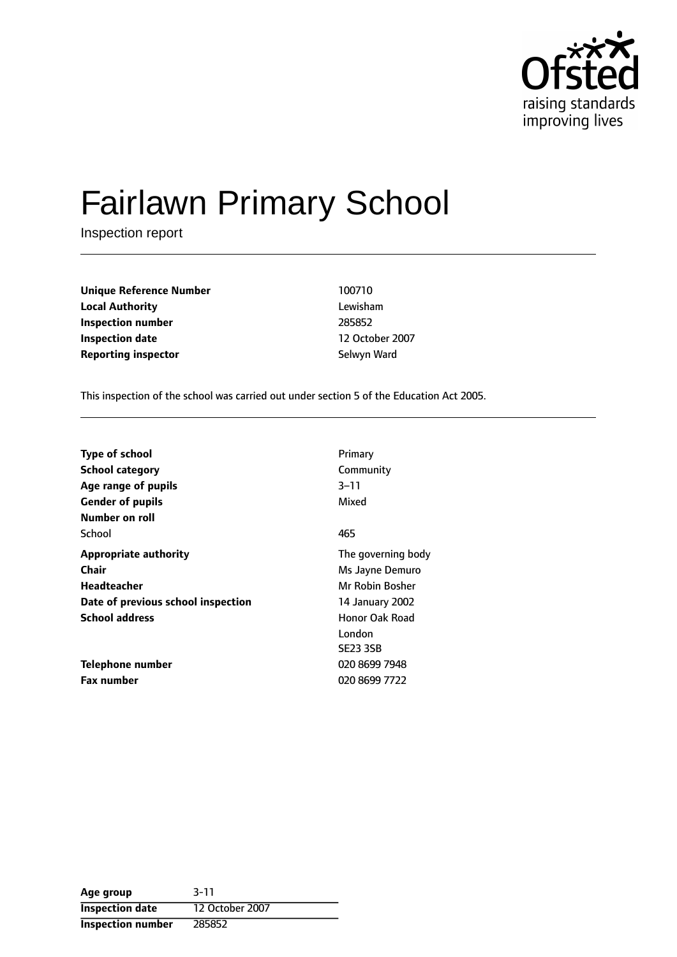

# Fairlawn Primary School

Inspection report

**Unique Reference Number** 100710 **Local Authority** Lewisham **Inspection number** 285852 **Inspection date** 12 October 2007 **Reporting inspector** Selwyn Ward

This inspection of the school was carried out under section 5 of the Education Act 2005.

| <b>Type of school</b>              | Primary            |
|------------------------------------|--------------------|
| <b>School category</b>             | Community          |
| Age range of pupils                | $3 - 11$           |
| <b>Gender of pupils</b>            | Mixed              |
| Number on roll                     |                    |
| School                             | 465                |
| <b>Appropriate authority</b>       | The governing body |
| <b>Chair</b>                       | Ms Jayne Demuro    |
| Headteacher                        | Mr Robin Bosher    |
| Date of previous school inspection | 14 January 2002    |
| <b>School address</b>              | Honor Oak Road     |
|                                    | London             |
|                                    | <b>SE23 3SB</b>    |
| Telephone number                   | 020 8699 7948      |
| <b>Fax number</b>                  | 020 8699 7722      |

| Age group                | $3 - 11$        |
|--------------------------|-----------------|
| <b>Inspection date</b>   | 12 October 2007 |
| <b>Inspection number</b> | 285852          |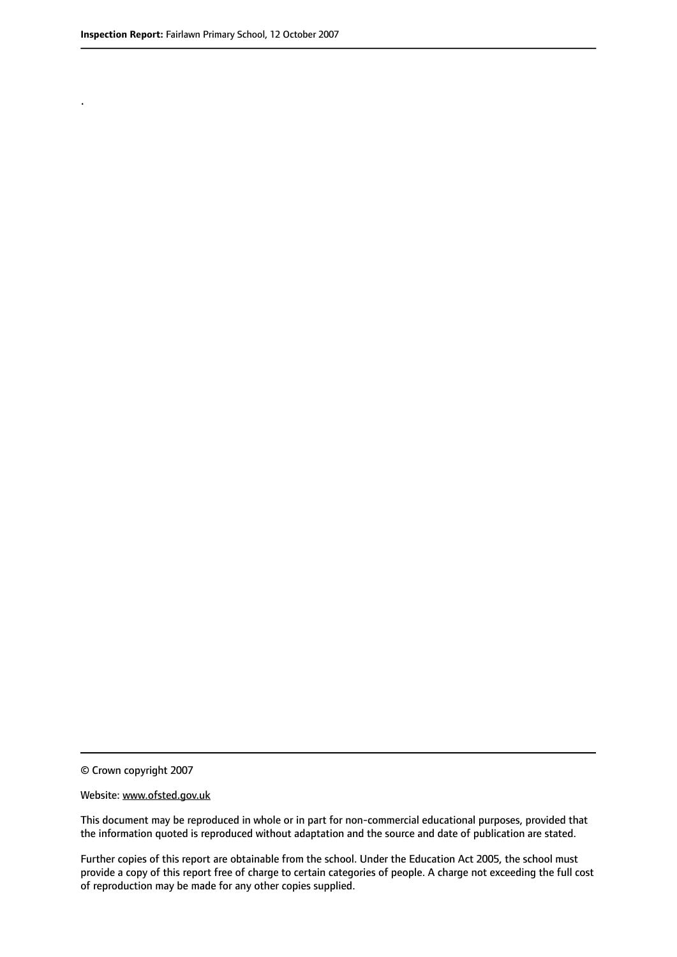.

© Crown copyright 2007

#### Website: www.ofsted.gov.uk

This document may be reproduced in whole or in part for non-commercial educational purposes, provided that the information quoted is reproduced without adaptation and the source and date of publication are stated.

Further copies of this report are obtainable from the school. Under the Education Act 2005, the school must provide a copy of this report free of charge to certain categories of people. A charge not exceeding the full cost of reproduction may be made for any other copies supplied.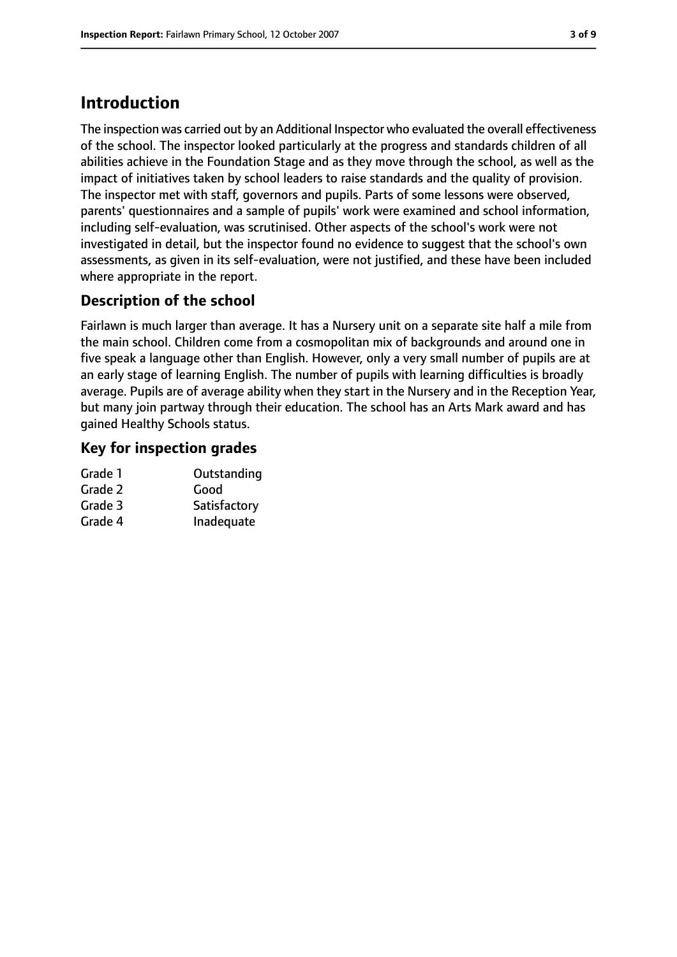# **Introduction**

The inspection was carried out by an Additional Inspector who evaluated the overall effectiveness of the school. The inspector looked particularly at the progress and standards children of all abilities achieve in the Foundation Stage and as they move through the school, as well as the impact of initiatives taken by school leaders to raise standards and the quality of provision. The inspector met with staff, governors and pupils. Parts of some lessons were observed, parents' questionnaires and a sample of pupils' work were examined and school information, including self-evaluation, was scrutinised. Other aspects of the school's work were not investigated in detail, but the inspector found no evidence to suggest that the school's own assessments, as given in its self-evaluation, were not justified, and these have been included where appropriate in the report.

## **Description of the school**

Fairlawn is much larger than average. It has a Nursery unit on a separate site half a mile from the main school. Children come from a cosmopolitan mix of backgrounds and around one in five speak a language other than English. However, only a very small number of pupils are at an early stage of learning English. The number of pupils with learning difficulties is broadly average. Pupils are of average ability when they start in the Nursery and in the Reception Year, but many join partway through their education. The school has an Arts Mark award and has gained Healthy Schools status.

## **Key for inspection grades**

| Outstanding  |
|--------------|
| Good         |
| Satisfactory |
| Inadequate   |
|              |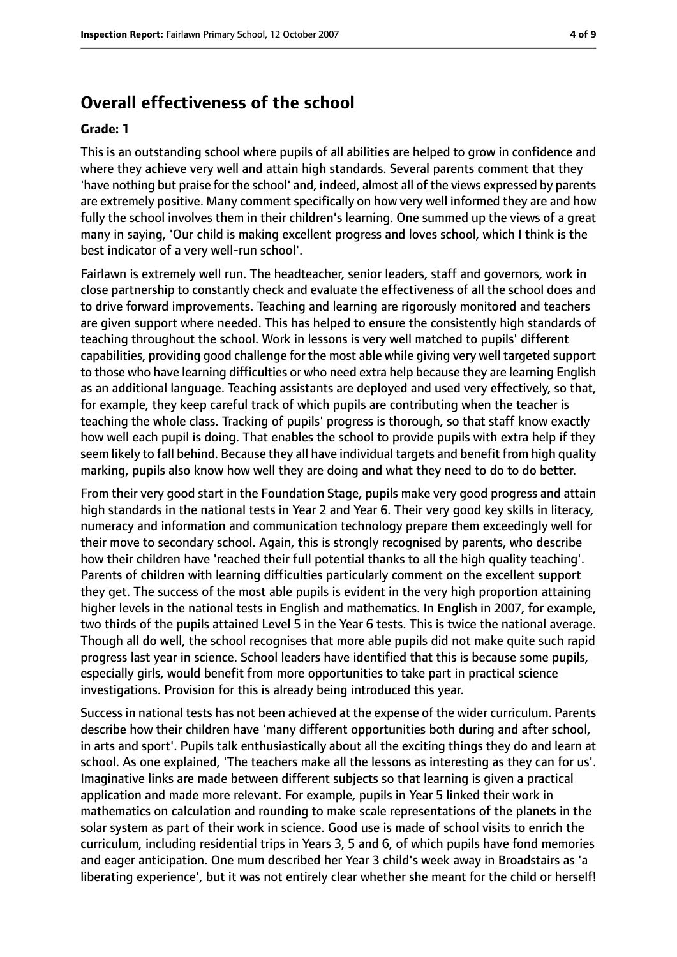## **Overall effectiveness of the school**

#### **Grade: 1**

This is an outstanding school where pupils of all abilities are helped to grow in confidence and where they achieve very well and attain high standards. Several parents comment that they 'have nothing but praise for the school' and, indeed, almost all of the views expressed by parents are extremely positive. Many comment specifically on how very well informed they are and how fully the school involves them in their children's learning. One summed up the views of a great many in saying, 'Our child is making excellent progress and loves school, which I think is the best indicator of a very well-run school'.

Fairlawn is extremely well run. The headteacher, senior leaders, staff and governors, work in close partnership to constantly check and evaluate the effectiveness of all the school does and to drive forward improvements. Teaching and learning are rigorously monitored and teachers are given support where needed. This has helped to ensure the consistently high standards of teaching throughout the school. Work in lessons is very well matched to pupils' different capabilities, providing good challenge for the most able while giving very well targeted support to those who have learning difficulties or who need extra help because they are learning English as an additional language. Teaching assistants are deployed and used very effectively, so that, for example, they keep careful track of which pupils are contributing when the teacher is teaching the whole class. Tracking of pupils' progress is thorough, so that staff know exactly how well each pupil is doing. That enables the school to provide pupils with extra help if they seem likely to fall behind. Because they all have individual targets and benefit from high quality marking, pupils also know how well they are doing and what they need to do to do better.

From their very good start in the Foundation Stage, pupils make very good progress and attain high standards in the national tests in Year 2 and Year 6. Their very good key skills in literacy, numeracy and information and communication technology prepare them exceedingly well for their move to secondary school. Again, this is strongly recognised by parents, who describe how their children have 'reached their full potential thanks to all the high quality teaching'. Parents of children with learning difficulties particularly comment on the excellent support they get. The success of the most able pupils is evident in the very high proportion attaining higher levels in the national tests in English and mathematics. In English in 2007, for example, two thirds of the pupils attained Level 5 in the Year 6 tests. This is twice the national average. Though all do well, the school recognises that more able pupils did not make quite such rapid progress last year in science. School leaders have identified that this is because some pupils, especially girls, would benefit from more opportunities to take part in practical science investigations. Provision for this is already being introduced this year.

Success in national tests has not been achieved at the expense of the wider curriculum. Parents describe how their children have 'many different opportunities both during and after school, in arts and sport'. Pupils talk enthusiastically about all the exciting things they do and learn at school. As one explained, 'The teachers make all the lessons as interesting as they can for us'. Imaginative links are made between different subjects so that learning is given a practical application and made more relevant. For example, pupils in Year 5 linked their work in mathematics on calculation and rounding to make scale representations of the planets in the solar system as part of their work in science. Good use is made of school visits to enrich the curriculum, including residential trips in Years 3, 5 and 6, of which pupils have fond memories and eager anticipation. One mum described her Year 3 child's week away in Broadstairs as 'a liberating experience', but it was not entirely clear whether she meant for the child or herself!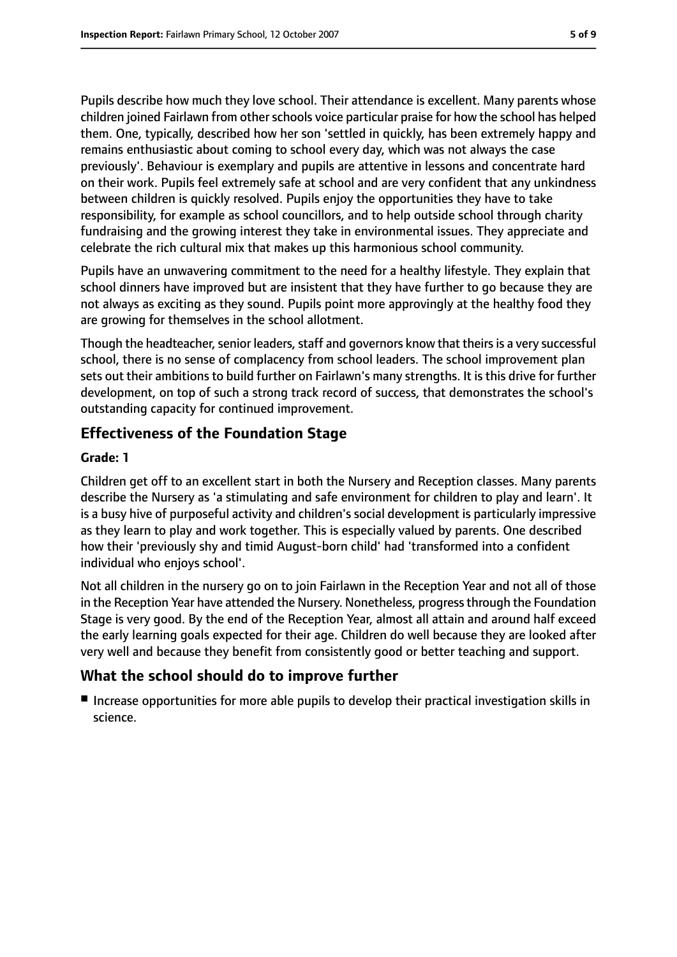Pupils describe how much they love school. Their attendance is excellent. Many parents whose children joined Fairlawn from otherschools voice particular praise for how the school has helped them. One, typically, described how her son 'settled in quickly, has been extremely happy and remains enthusiastic about coming to school every day, which was not always the case previously'. Behaviour is exemplary and pupils are attentive in lessons and concentrate hard on their work. Pupils feel extremely safe at school and are very confident that any unkindness between children is quickly resolved. Pupils enjoy the opportunities they have to take responsibility, for example as school councillors, and to help outside school through charity fundraising and the growing interest they take in environmental issues. They appreciate and celebrate the rich cultural mix that makes up this harmonious school community.

Pupils have an unwavering commitment to the need for a healthy lifestyle. They explain that school dinners have improved but are insistent that they have further to go because they are not always as exciting as they sound. Pupils point more approvingly at the healthy food they are growing for themselves in the school allotment.

Though the headteacher, senior leaders, staff and governors know that theirs is a very successful school, there is no sense of complacency from school leaders. The school improvement plan sets out their ambitions to build further on Fairlawn's many strengths. It is this drive for further development, on top of such a strong track record of success, that demonstrates the school's outstanding capacity for continued improvement.

#### **Effectiveness of the Foundation Stage**

#### **Grade: 1**

Children get off to an excellent start in both the Nursery and Reception classes. Many parents describe the Nursery as 'a stimulating and safe environment for children to play and learn'. It is a busy hive of purposeful activity and children's social development is particularly impressive as they learn to play and work together. This is especially valued by parents. One described how their 'previously shy and timid August-born child' had 'transformed into a confident individual who enjoys school'.

Not all children in the nursery go on to join Fairlawn in the Reception Year and not all of those in the Reception Year have attended the Nursery. Nonetheless, progress through the Foundation Stage is very good. By the end of the Reception Year, almost all attain and around half exceed the early learning goals expected for their age. Children do well because they are looked after very well and because they benefit from consistently good or better teaching and support.

#### **What the school should do to improve further**

■ Increase opportunities for more able pupils to develop their practical investigation skills in science.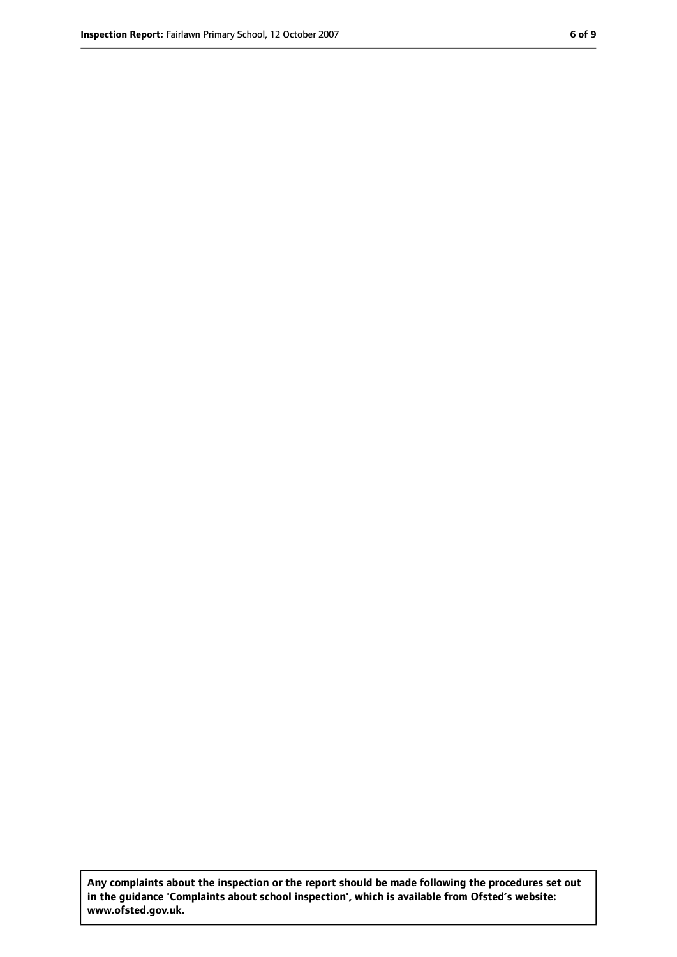**Any complaints about the inspection or the report should be made following the procedures set out in the guidance 'Complaints about school inspection', which is available from Ofsted's website: www.ofsted.gov.uk.**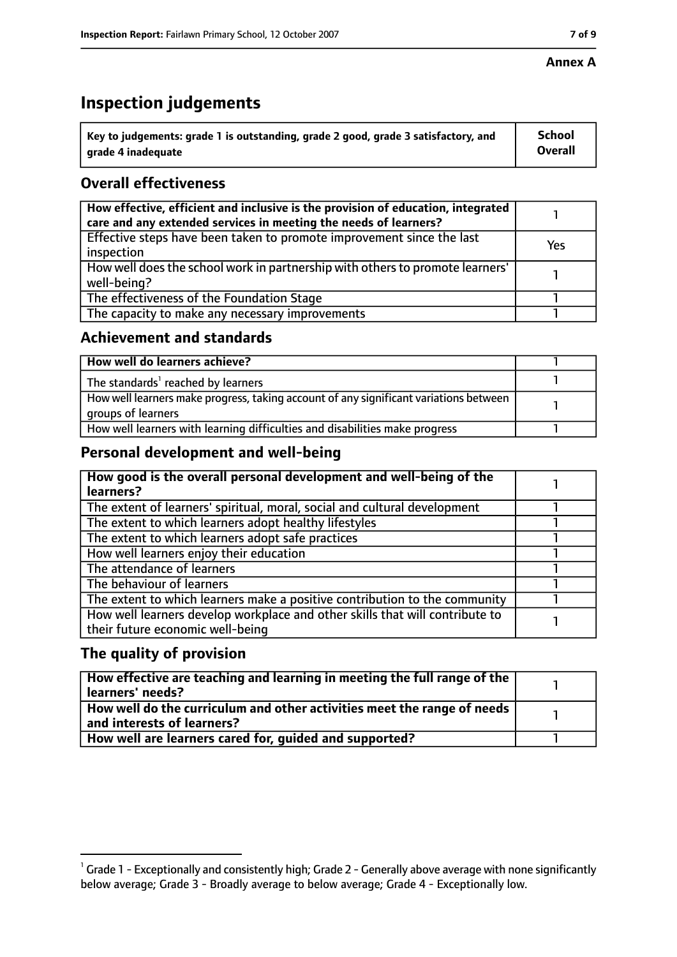#### **Annex A**

# **Inspection judgements**

| $\degree$ Key to judgements: grade 1 is outstanding, grade 2 good, grade 3 satisfactory, and | School         |
|----------------------------------------------------------------------------------------------|----------------|
| arade 4 inadequate                                                                           | <b>Overall</b> |

## **Overall effectiveness**

| How effective, efficient and inclusive is the provision of education, integrated<br>care and any extended services in meeting the needs of learners? |     |
|------------------------------------------------------------------------------------------------------------------------------------------------------|-----|
| Effective steps have been taken to promote improvement since the last<br>inspection                                                                  | Yes |
| How well does the school work in partnership with others to promote learners'<br>well-being?                                                         |     |
| The effectiveness of the Foundation Stage                                                                                                            |     |
| The capacity to make any necessary improvements                                                                                                      |     |

#### **Achievement and standards**

| How well do learners achieve?                                                                               |  |
|-------------------------------------------------------------------------------------------------------------|--|
| The standards <sup>1</sup> reached by learners                                                              |  |
| How well learners make progress, taking account of any significant variations between<br>groups of learners |  |
| How well learners with learning difficulties and disabilities make progress                                 |  |

#### **Personal development and well-being**

| How good is the overall personal development and well-being of the<br>learners?                                  |  |
|------------------------------------------------------------------------------------------------------------------|--|
| The extent of learners' spiritual, moral, social and cultural development                                        |  |
| The extent to which learners adopt healthy lifestyles                                                            |  |
| The extent to which learners adopt safe practices                                                                |  |
| How well learners enjoy their education                                                                          |  |
| The attendance of learners                                                                                       |  |
| The behaviour of learners                                                                                        |  |
| The extent to which learners make a positive contribution to the community                                       |  |
| How well learners develop workplace and other skills that will contribute to<br>their future economic well-being |  |

#### **The quality of provision**

| How effective are teaching and learning in meeting the full range of the<br>learners' needs?          |  |
|-------------------------------------------------------------------------------------------------------|--|
| How well do the curriculum and other activities meet the range of needs<br>and interests of learners? |  |
| How well are learners cared for, quided and supported?                                                |  |

 $^1$  Grade 1 - Exceptionally and consistently high; Grade 2 - Generally above average with none significantly below average; Grade 3 - Broadly average to below average; Grade 4 - Exceptionally low.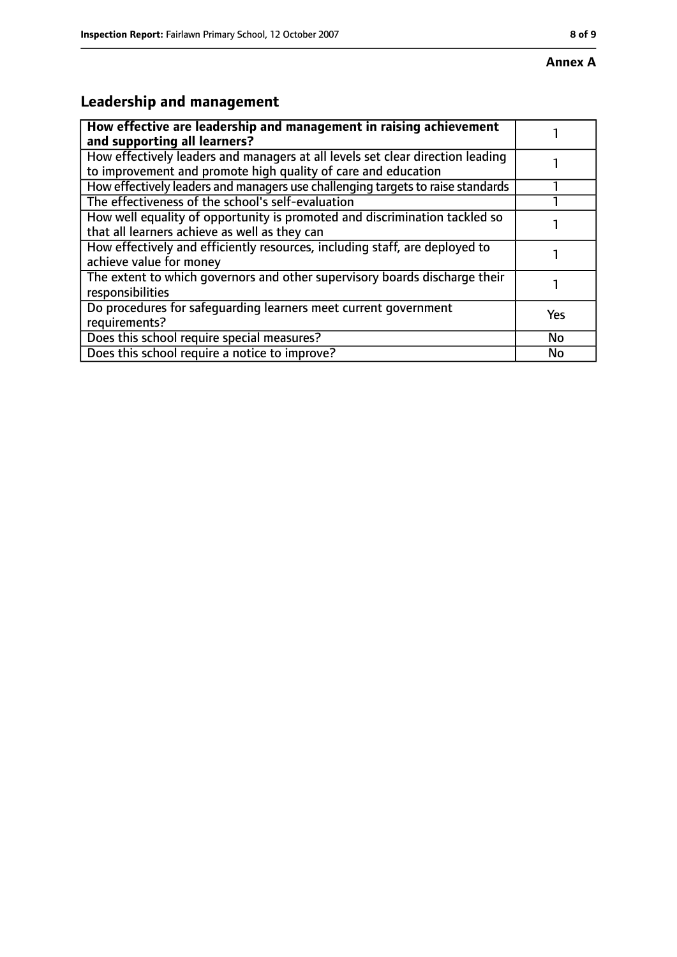# **Leadership and management**

| How effective are leadership and management in raising achievement<br>and supporting all learners?                                              |     |
|-------------------------------------------------------------------------------------------------------------------------------------------------|-----|
| How effectively leaders and managers at all levels set clear direction leading<br>to improvement and promote high quality of care and education |     |
| How effectively leaders and managers use challenging targets to raise standards                                                                 |     |
| The effectiveness of the school's self-evaluation                                                                                               |     |
| How well equality of opportunity is promoted and discrimination tackled so<br>that all learners achieve as well as they can                     |     |
| How effectively and efficiently resources, including staff, are deployed to<br>achieve value for money                                          |     |
| The extent to which governors and other supervisory boards discharge their<br>responsibilities                                                  |     |
| Do procedures for safeguarding learners meet current government<br>requirements?                                                                | Yes |
| Does this school require special measures?                                                                                                      | No  |
| Does this school require a notice to improve?                                                                                                   | No  |